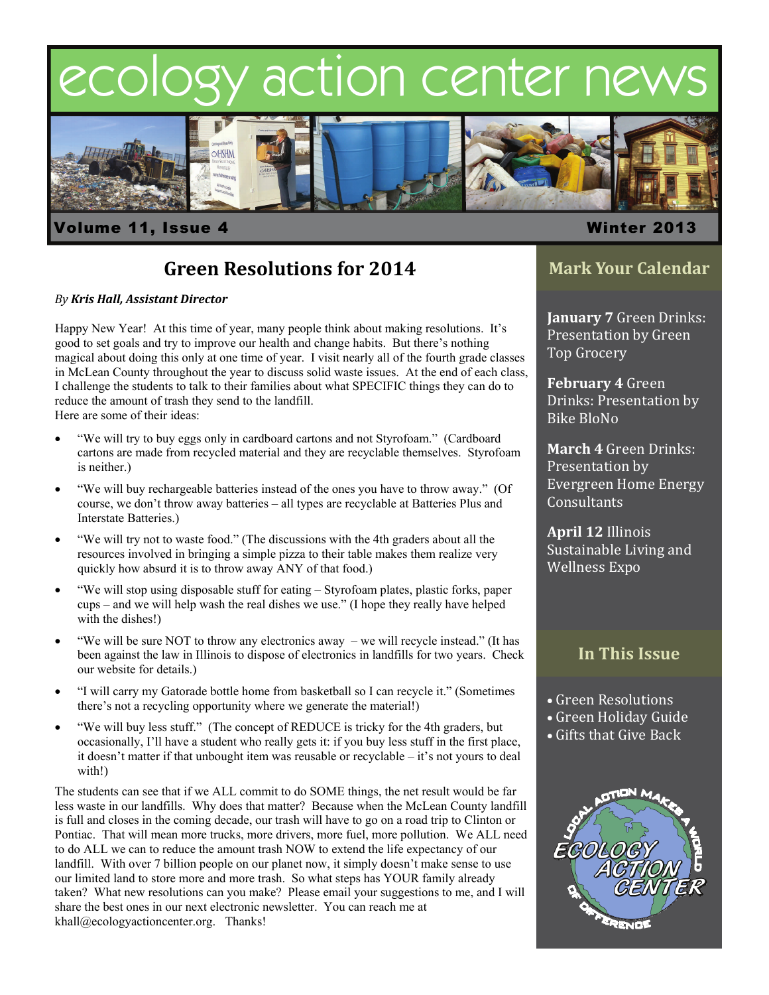# ecology action center new



### Volume 11, Issue 4 Winter 2013

## **Green Resolutions for 2014**

#### *By Kris Hall, Assistant Director*

Happy New Year! At this time of year, many people think about making resolutions. It's good to set goals and try to improve our health and change habits. But there's nothing magical about doing this only at one time of year. I visit nearly all of the fourth grade classes in McLean County throughout the year to discuss solid waste issues. At the end of each class, I challenge the students to talk to their families about what SPECIFIC things they can do to reduce the amount of trash they send to the landfill. 

Here are some of their ideas:

- "We will try to buy eggs only in cardboard cartons and not Styrofoam." (Cardboard cartons are made from recycled material and they are recyclable themselves. Styrofoam is neither.)
- "We will buy rechargeable batteries instead of the ones you have to throw away." (Of course, we don't throw away batteries – all types are recyclable at Batteries Plus and Interstate Batteries.)
- "We will try not to waste food." (The discussions with the 4th graders about all the resources involved in bringing a simple pizza to their table makes them realize very quickly how absurd it is to throw away ANY of that food.)
- "We will stop using disposable stuff for eating Styrofoam plates, plastic forks, paper cups – and we will help wash the real dishes we use." (I hope they really have helped with the dishes!)
- "We will be sure NOT to throw any electronics away we will recycle instead." (It has been against the law in Illinois to dispose of electronics in landfills for two years. Check our website for details.)
- "I will carry my Gatorade bottle home from basketball so I can recycle it." (Sometimes there's not a recycling opportunity where we generate the material!)
- "We will buy less stuff." (The concept of REDUCE is tricky for the 4th graders, but occasionally, I'll have a student who really gets it: if you buy less stuff in the first place, it doesn't matter if that unbought item was reusable or recyclable – it's not yours to deal with!)

The students can see that if we ALL commit to do SOME things, the net result would be far less waste in our landfills. Why does that matter? Because when the McLean County landfill is full and closes in the coming decade, our trash will have to go on a road trip to Clinton or Pontiac. That will mean more trucks, more drivers, more fuel, more pollution. We ALL need to do ALL we can to reduce the amount trash NOW to extend the life expectancy of our landfill. With over 7 billion people on our planet now, it simply doesn't make sense to use our limited land to store more and more trash. So what steps has YOUR family already taken? What new resolutions can you make? Please email your suggestions to me, and I will share the best ones in our next electronic newsletter. You can reach me at khall@ecologyactioncenter.org. Thanks!

## **Mark Your Calendar**

**January 7** Green Drinks: Presentation by Green Top Grocery

**February 4** Green Drinks: Presentation by Bike BloNo 

**March 4 Green Drinks:** Presentation by Evergreen Home Energy **Consultants** 

**April 12** Illinois Sustainable Living and Wellness Expo

### **In This Issue**

- Green Resolutions
- Green Holiday Guide
- $\bullet$  Gifts that Give Back

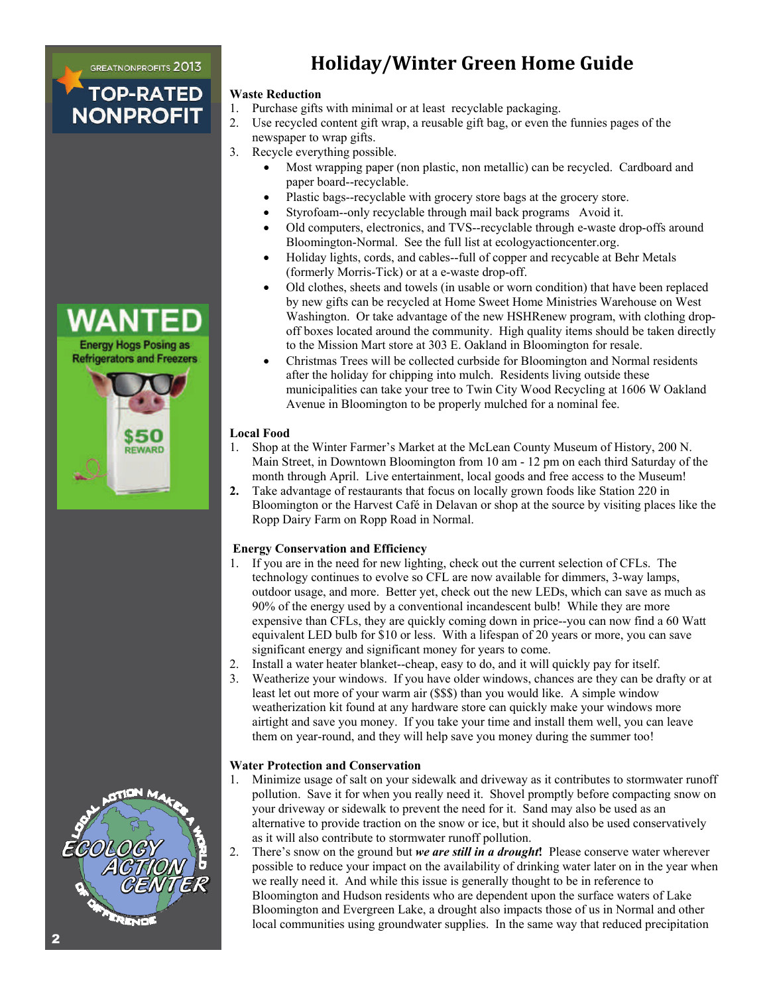**GREATNONPROFITS 2013 TOP-RATED** 

**NONPROFIT** 

## **Holiday/Winter Green Home Guide**

#### **Waste Reduction**

- 1. Purchase gifts with minimal or at least recyclable packaging.
- 2. Use recycled content gift wrap, a reusable gift bag, or even the funnies pages of the newspaper to wrap gifts.
- 3. Recycle everything possible.
	- Most wrapping paper (non plastic, non metallic) can be recycled. Cardboard and paper board--recyclable.
	- Plastic bags--recyclable with grocery store bags at the grocery store.
	- Styrofoam--only recyclable through mail back programs Avoid it.
	- Old computers, electronics, and TVS--recyclable through e-waste drop-offs around Bloomington-Normal. See the full list at ecologyactioncenter.org.
	- Holiday lights, cords, and cables--full of copper and recycable at Behr Metals (formerly Morris-Tick) or at a e-waste drop-off.
	- Old clothes, sheets and towels (in usable or worn condition) that have been replaced by new gifts can be recycled at Home Sweet Home Ministries Warehouse on West Washington. Or take advantage of the new HSHRenew program, with clothing dropoff boxes located around the community. High quality items should be taken directly to the Mission Mart store at 303 E. Oakland in Bloomington for resale.
	- Christmas Trees will be collected curbside for Bloomington and Normal residents after the holiday for chipping into mulch. Residents living outside these municipalities can take your tree to Twin City Wood Recycling at 1606 W Oakland Avenue in Bloomington to be properly mulched for a nominal fee.

#### **Local Food**

- 1. Shop at the Winter Farmer's Market at the McLean County Museum of History, 200 N. Main Street, in Downtown Bloomington from 10 am - 12 pm on each third Saturday of the month through April. Live entertainment, local goods and free access to the Museum!
- **2.** Take advantage of restaurants that focus on locally grown foods like Station 220 in Bloomington or the Harvest Café in Delavan or shop at the source by visiting places like the Ropp Dairy Farm on Ropp Road in Normal.

#### **Energy Conservation and Efficiency**

- 1. If you are in the need for new lighting, check out the current selection of CFLs. The technology continues to evolve so CFL are now available for dimmers, 3-way lamps, outdoor usage, and more. Better yet, check out the new LEDs, which can save as much as 90% of the energy used by a conventional incandescent bulb! While they are more expensive than CFLs, they are quickly coming down in price--you can now find a 60 Watt equivalent LED bulb for \$10 or less. With a lifespan of 20 years or more, you can save significant energy and significant money for years to come.
- 2. Install a water heater blanket--cheap, easy to do, and it will quickly pay for itself.
- 3. Weatherize your windows. If you have older windows, chances are they can be drafty or at least let out more of your warm air (\$\$\$) than you would like. A simple window weatherization kit found at any hardware store can quickly make your windows more airtight and save you money. If you take your time and install them well, you can leave them on year-round, and they will help save you money during the summer too!

#### **Water Protection and Conservation**

- 1. Minimize usage of salt on your sidewalk and driveway as it contributes to stormwater runoff pollution. Save it for when you really need it. Shovel promptly before compacting snow on your driveway or sidewalk to prevent the need for it. Sand may also be used as an alternative to provide traction on the snow or ice, but it should also be used conservatively as it will also contribute to stormwater runoff pollution.
- 2. There's snow on the ground but *we are still in a drought***!** Please conserve water wherever possible to reduce your impact on the availability of drinking water later on in the year when we really need it. And while this issue is generally thought to be in reference to Bloomington and Hudson residents who are dependent upon the surface waters of Lake Bloomington and Evergreen Lake, a drought also impacts those of us in Normal and other local communities using groundwater supplies. In the same way that reduced precipitation



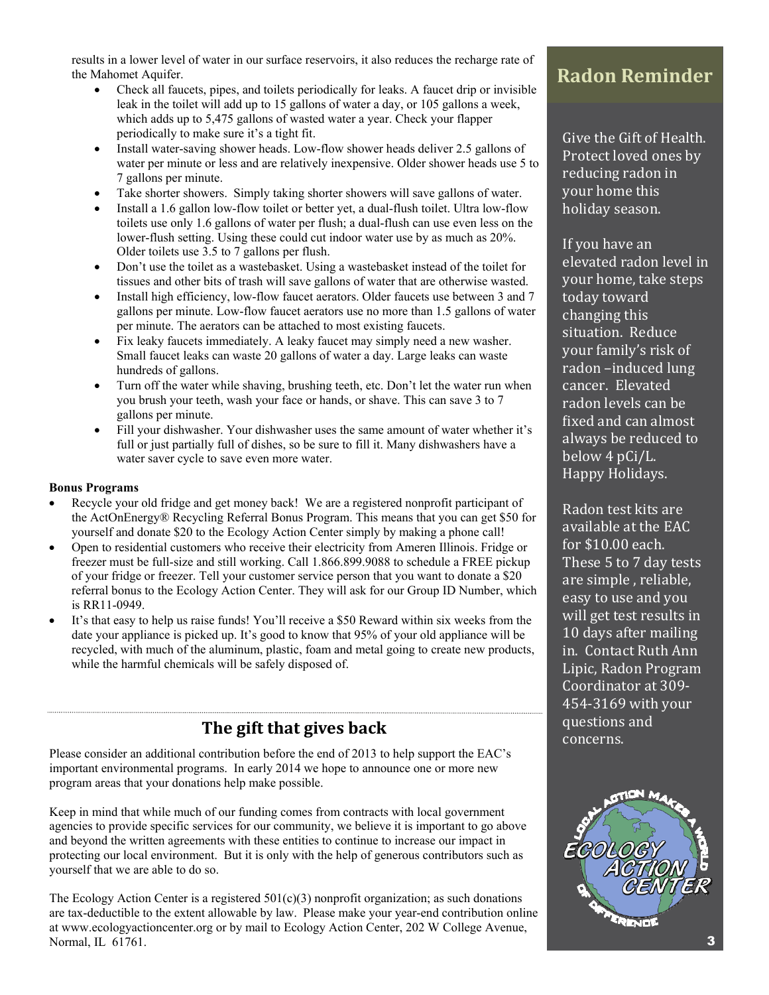results in a lower level of water in our surface reservoirs, it also reduces the recharge rate of the Mahomet Aquifer.

- Check all faucets, pipes, and toilets periodically for leaks. A faucet drip or invisible leak in the toilet will add up to 15 gallons of water a day, or 105 gallons a week, which adds up to 5,475 gallons of wasted water a year. Check your flapper periodically to make sure it's a tight fit.
- Install water-saving shower heads. Low-flow shower heads deliver 2.5 gallons of water per minute or less and are relatively inexpensive. Older shower heads use 5 to 7 gallons per minute.
- Take shorter showers. Simply taking shorter showers will save gallons of water.
- Install a 1.6 gallon low-flow toilet or better yet, a dual-flush toilet. Ultra low-flow toilets use only 1.6 gallons of water per flush; a dual-flush can use even less on the lower-flush setting. Using these could cut indoor water use by as much as 20%. Older toilets use 3.5 to 7 gallons per flush.
- Don't use the toilet as a wastebasket. Using a wastebasket instead of the toilet for tissues and other bits of trash will save gallons of water that are otherwise wasted.
- Install high efficiency, low-flow faucet aerators. Older faucets use between 3 and 7 gallons per minute. Low-flow faucet aerators use no more than 1.5 gallons of water per minute. The aerators can be attached to most existing faucets.
- Fix leaky faucets immediately. A leaky faucet may simply need a new washer. Small faucet leaks can waste 20 gallons of water a day. Large leaks can waste hundreds of gallons.
- Turn off the water while shaving, brushing teeth, etc. Don't let the water run when you brush your teeth, wash your face or hands, or shave. This can save 3 to 7 gallons per minute.
- Fill your dishwasher. Your dishwasher uses the same amount of water whether it's full or just partially full of dishes, so be sure to fill it. Many dishwashers have a water saver cycle to save even more water.

#### **Bonus Programs**

- Recycle your old fridge and get money back! We are a registered nonprofit participant of the ActOnEnergy® Recycling Referral Bonus Program. This means that you can get \$50 for yourself and donate \$20 to the Ecology Action Center simply by making a phone call!
- Open to residential customers who receive their electricity from Ameren Illinois. Fridge or freezer must be full-size and still working. Call 1.866.899.9088 to schedule a FREE pickup of your fridge or freezer. Tell your customer service person that you want to donate a \$20 referral bonus to the Ecology Action Center. They will ask for our Group ID Number, which is RR11-0949.
- It's that easy to help us raise funds! You'll receive a \$50 Reward within six weeks from the date your appliance is picked up. It's good to know that 95% of your old appliance will be recycled, with much of the aluminum, plastic, foam and metal going to create new products, while the harmful chemicals will be safely disposed of.

## **The gift that gives back**

Please consider an additional contribution before the end of 2013 to help support the EAC's important environmental programs. In early 2014 we hope to announce one or more new program areas that your donations help make possible.

Keep in mind that while much of our funding comes from contracts with local government agencies to provide specific services for our community, we believe it is important to go above and beyond the written agreements with these entities to continue to increase our impact in protecting our local environment. But it is only with the help of generous contributors such as yourself that we are able to do so.

The Ecology Action Center is a registered  $501(c)(3)$  nonprofit organization; as such donations are tax-deductible to the extent allowable by law. Please make your year-end contribution online at www.ecologyactioncenter.org or by mail to Ecology Action Center, 202 W College Avenue, Normal, IL 61761.

## **Radon Reminder**

Give the Gift of Health. Protect loved ones by reducing radon in your home this holiday season.

If you have an elevated radon level in your home, take steps today toward changing this situation. Reduce your family's risk of radon -induced lung cancer. Elevated radon levels can be fixed and can almost always be reduced to below 4 pCi/L. Happy Holidays.

Radon test kits are available at the EAC for  $$10.00$  each. These 5 to 7 day tests are simple, reliable, easy to use and you will get test results in 10 days after mailing in. Contact Ruth Ann Lipic, Radon Program Coordinator at 309-454-3169 with your questions and concerns.